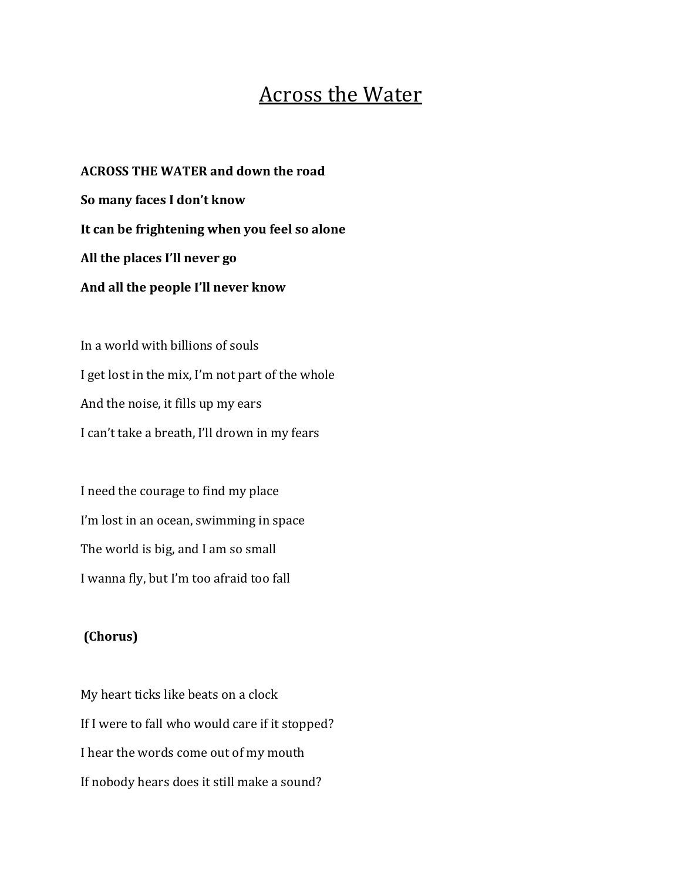## **Across the Water**

**ACROSS THE WATER and down the road So many faces I don't know** It can be frightening when you feel so alone All the places I'll never go And all the people I'll never know

In a world with billions of souls I get lost in the mix, I'm not part of the whole And the noise, it fills up my ears I can't take a breath, I'll drown in my fears

I need the courage to find my place I'm lost in an ocean, swimming in space The world is big, and I am so small I wanna fly, but I'm too afraid too fall

## **(Chorus)**

My heart ticks like beats on a clock If I were to fall who would care if it stopped? I hear the words come out of my mouth If nobody hears does it still make a sound?